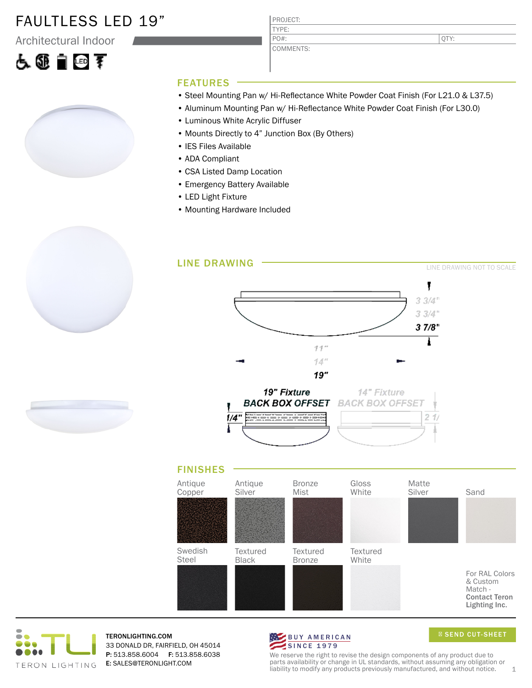### FAULTLESS LED 19"

Architectural Indoor

# 医亚自由素



| PROJECT:  |
|-----------|
| TYPF:     |
| $PO#$ :   |
| COMMENTS: |

QTY:

#### FEATURES

- Steel Mounting Pan w/ Hi-Reflectance White Powder Coat Finish (For L21.0 & L37.5)
- Aluminum Mounting Pan w/ Hi-Reflectance White Powder Coat Finish (For L30.0)
- Luminous White Acrylic Diffuser
- Mounts Directly to 4" Junction Box (By Others)
- IES Files Available
- ADA Compliant
- CSA Listed Damp Location
- Emergency Battery Available
- LED Light Fixture
- Mounting Hardware Included





For RAL Colors & Custom Match - Contact Teron Lighting Inc.



TERONLIGHTING.COM 33 DONALD DR, FAIRFIELD, OH 45014 P: 513.858.6004 F: 513.858.6038 E: SALES@TERONLIGHT.COM



SEND CUT-SHEET

We reserve the right to revise the design components of any product due to parts availability or change in UL standards, without assuming any obligation or liability to modify any products previously manufactured, and without notice.  $1$